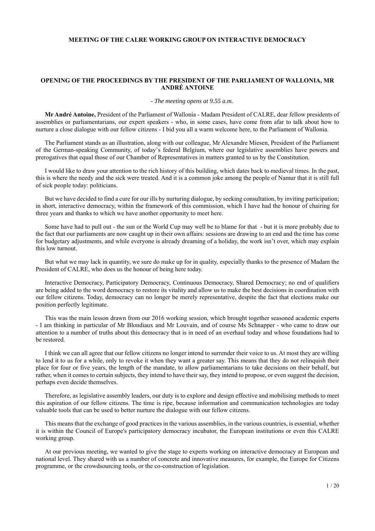# **MEETING OF THE CALRE WORKING GROUP ON INTERACTIVE DEMOCRACY**

# **OPENING OF THE PROCEEDINGS BY THE PRESIDENT OF THE PARLIAMENT OF WALLONIA, MR ANDRÉ ANTOINE**

## *- The meeting opens at 9.55 a.m.*

**Mr André Antoine,** President of the Parliament of Wallonia - Madam President of CALRE, dear fellow presidents of assemblies or parliamentarians, our expert speakers - who, in some cases, have come from afar to talk about how to nurture a close dialogue with our fellow citizens - I bid you all a warm welcome here, to the Parliament of Wallonia.

The Parliament stands as an illustration, along with our colleague, Mr Alexandre Miesen, President of the Parliament of the German-speaking Community, of today's federal Belgium, where our legislative assemblies have powers and prerogatives that equal those of our Chamber of Representatives in matters granted to us by the Constitution.

I would like to draw your attention to the rich history of this building, which dates back to medieval times. In the past, this is where the needy and the sick were treated. And it is a common joke among the people of Namur that it is still full of sick people today: politicians.

But we have decided to find a cure for our ills by nurturing dialogue, by seeking consultation, by inviting participation; in short, interactive democracy, within the framework of this commission, which I have had the honour of chairing for three years and thanks to which we have another opportunity to meet here.

Some have had to pull out - the sun or the World Cup may well be to blame for that - but it is more probably due to the fact that our parliaments are now caught up in their own affairs: sessions are drawing to an end and the time has come for budgetary adjustments, and while everyone is already dreaming of a holiday, the work isn't over, which may explain this low turnout.

But what we may lack in quantity, we sure do make up for in quality, especially thanks to the presence of Madam the President of CALRE, who does us the honour of being here today.

Interactive Democracy, Participatory Democracy, Continuous Democracy, Shared Democracy; no end of qualifiers are being added to the word democracy to restore its vitality and allow us to make the best decisions in coordination with our fellow citizens. Today, democracy can no longer be merely representative, despite the fact that elections make our position perfectly legitimate.

This was the main lesson drawn from our 2016 working session, which brought together seasoned academic experts - I am thinking in particular of Mr Blondiaux and Mr Louvain, and of course Ms Schnapper - who came to draw our attention to a number of truths about this democracy that is in need of an overhaul today and whose foundations had to be restored.

I think we can all agree that our fellow citizens no longer intend to surrender their voice to us. At most they are willing to lend it to us for a while, only to revoke it when they want a greater say. This means that they do not relinquish their place for four or five years, the length of the mandate, to allow parliamentarians to take decisions on their behalf, but rather, when it comes to certain subjects, they intend to have their say, they intend to propose, or even suggest the decision, perhaps even decide themselves.

Therefore, as legislative assembly leaders, our duty is to explore and design effective and mobilising methods to meet this aspiration of our fellow citizens. The time is ripe, because information and communication technologies are today valuable tools that can be used to better nurture the dialogue with our fellow citizens.

This means that the exchange of good practices in the various assemblies, in the various countries, is essential, whether it is within the Council of Europe's participatory democracy incubator, the European institutions or even this CALRE working group.

At our previous meeting, we wanted to give the stage to experts working on interactive democracy at European and national level. They shared with us a number of concrete and innovative measures, for example, the Europe for Citizens programme, or the crowdsourcing tools, or the co-construction of legislation.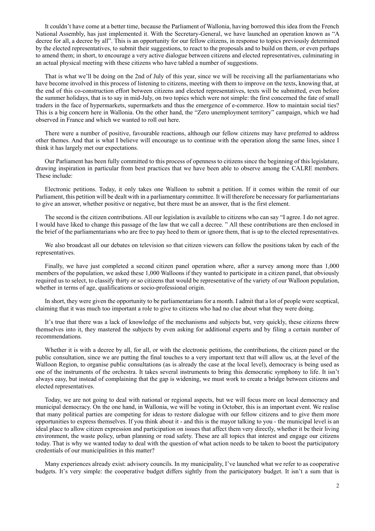It couldn't have come at a better time, because the Parliament of Wallonia, having borrowed this idea from the French National Assembly, has just implemented it. With the Secretary-General, we have launched an operation known as "A decree for all, a decree by all". This is an opportunity for our fellow citizens, in response to topics previously determined by the elected representatives, to submit their suggestions, to react to the proposals and to build on them, or even perhaps to amend them; in short, to encourage a very active dialogue between citizens and elected representatives, culminating in an actual physical meeting with these citizens who have tabled a number of suggestions.

That is what we'll be doing on the 2nd of July of this year, since we will be receiving all the parliamentarians who have become involved in this process of listening to citizens, meeting with them to improve on the texts, knowing that, at the end of this co-construction effort between citizens and elected representatives, texts will be submitted, even before the summer holidays, that is to say in mid-July, on two topics which were not simple: the first concerned the fate of small traders in the face of hypermarkets, supermarkets and thus the emergence of e-commerce. How to maintain social ties? This is a big concern here in Wallonia. On the other hand, the "Zero unemployment territory" campaign, which we had observed in France and which we wanted to roll out here.

There were a number of positive, favourable reactions, although our fellow citizens may have preferred to address other themes. And that is what I believe will encourage us to continue with the operation along the same lines, since I think it has largely met our expectations.

Our Parliament has been fully committed to this process of openness to citizens since the beginning of this legislature, drawing inspiration in particular from best practices that we have been able to observe among the CALRE members. These include:

Electronic petitions. Today, it only takes one Walloon to submit a petition. If it comes within the remit of our Parliament, this petition will be dealt with in a parliamentary committee. It will therefore be necessary for parliamentarians to give an answer, whether positive or negative, but there must be an answer, that is the first element.

The second is the citizen contributions. All our legislation is available to citizens who can say "I agree. I do not agree. I would have liked to change this passage of the law that we call a decree. " All these contributions are then enclosed in the brief of the parliamentarians who are free to pay heed to them or ignore them, that is up to the elected representatives.

We also broadcast all our debates on television so that citizen viewers can follow the positions taken by each of the representatives.

Finally, we have just completed a second citizen panel operation where, after a survey among more than 1,000 members of the population, we asked these 1,000 Walloons if they wanted to participate in a citizen panel, that obviously required us to select, to classify thirty or so citizens that would be representative of the variety of our Walloon population, whether in terms of age, qualifications or socio-professional origin.

In short, they were given the opportunity to be parliamentarians for a month. I admit that a lot of people were sceptical, claiming that it was much too important a role to give to citizens who had no clue about what they were doing.

It's true that there was a lack of knowledge of the mechanisms and subjects but, very quickly, these citizens threw themselves into it, they mastered the subjects by even asking for additional experts and by filing a certain number of recommendations.

Whether it is with a decree by all, for all, or with the electronic petitions, the contributions, the citizen panel or the public consultation, since we are putting the final touches to a very important text that will allow us, at the level of the Walloon Region, to organise public consultations (as is already the case at the local level), democracy is being used as one of the instruments of the orchestra. It takes several instruments to bring this democratic symphony to life. It isn't always easy, but instead of complaining that the gap is widening, we must work to create a bridge between citizens and elected representatives.

Today, we are not going to deal with national or regional aspects, but we will focus more on local democracy and municipal democracy. On the one hand, in Wallonia, we will be voting in October, this is an important event. We realise that many political parties are competing for ideas to restore dialogue with our fellow citizens and to give them more opportunities to express themselves. If you think about it - and this is the mayor talking to you - the municipal level is an ideal place to allow citizen expression and participation on issues that affect them very directly, whether it be their living environment, the waste policy, urban planning or road safety. These are all topics that interest and engage our citizens today. That is why we wanted today to deal with the question of what action needs to be taken to boost the participatory credentials of our municipalities in this matter?

Many experiences already exist: advisory councils. In my municipality, I've launched what we refer to as cooperative budgets. It's very simple: the cooperative budget differs sightly from the participatory budget. It isn't a sum that is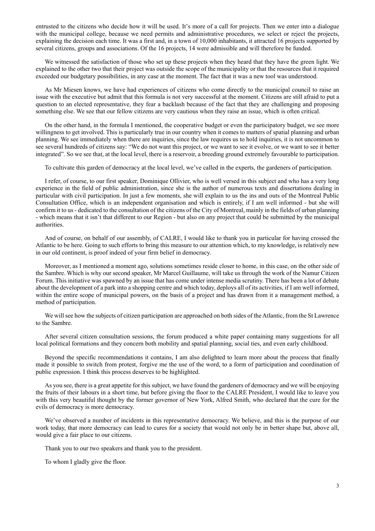entrusted to the citizens who decide how it will be used. It's more of a call for projects. Then we enter into a dialogue with the municipal college, because we need permits and administrative procedures, we select or reject the projects, explaining the decision each time. It was a first and, in a town of 10,000 inhabitants, it attracted 16 projects supported by several citizens, groups and associations. Of the 16 projects, 14 were admissible and will therefore be funded.

We witnessed the satisfaction of those who set up these projects when they heard that they have the green light. We explained to the other two that their project was outside the scope of the municipality or that the resources that it required exceeded our budgetary possibilities, in any case at the moment. The fact that it was a new tool was understood.

As Mr Miesen knows, we have had experiences of citizens who come directly to the municipal council to raise an issue with the executive but admit that this formula is not very successful at the moment. Citizens are still afraid to put a question to an elected representative, they fear a backlash because of the fact that they are challenging and proposing something else. We see that our fellow citizens are very cautious when they raise an issue, which is often critical.

On the other hand, in the formula I mentioned, the cooperative budget or even the participatory budget, we see more willingness to get involved. This is particularly true in our country when it comes to matters of spatial planning and urban planning. We see immediately when there are inquiries, since the law requires us to hold inquiries, it is not uncommon to see several hundreds of citizens say: "We do not want this project, or we want to see it evolve, or we want to see it better integrated". So we see that, at the local level, there is a reservoir, a breeding ground extremely favourable to participation.

To cultivate this garden of democracy at the local level, we've called in the experts, the gardeners of participation.

I refer, of course, to our first speaker, Dominique Ollivier, who is well versed in this subject and who has a very long experience in the field of public administration, since she is the author of numerous texts and dissertations dealing in particular with civil participation. In just a few moments, she will explain to us the ins and outs of the Montreal Public Consultation Office, which is an independent organisation and which is entirely, if I am well informed - but she will confirm it to us - dedicated to the consultation of the citizens of the City of Montreal, mainly in the fields of urban planning - which means that it isn't that different to our Region - but also on any project that could be submitted by the municipal authorities.

And of course, on behalf of our assembly, of CALRE, I would like to thank you in particular for having crossed the Atlantic to be here. Going to such efforts to bring this measure to our attention which, to my knowledge, is relatively new in our old continent, is proof indeed of your firm belief in democracy.

Moreover, as I mentioned a moment ago, solutions sometimes reside closer to home, in this case, on the other side of the Sambre. Which is why our second speaker, Mr Marcel Guillaume, will take us through the work of the Namur Citizen Forum. This initiative was spawned by an issue that has come under intense media scrutiny. There has been a lot of debate about the development of a park into a shopping centre and which today, deploys all of its activities, if I am well informed, within the entire scope of municipal powers, on the basis of a project and has drawn from it a management method, a method of participation.

We will see how the subjects of citizen participation are approached on both sides of the Atlantic, from the St Lawrence to the Sambre.

After several citizen consultation sessions, the forum produced a white paper containing many suggestions for all local political formations and they concern both mobility and spatial planning, social ties, and even early childhood.

Beyond the specific recommendations it contains, I am also delighted to learn more about the process that finally made it possible to switch from protest, forgive me the use of the word, to a form of participation and coordination of public expression. I think this process deserves to be highlighted.

As you see, there is a great appetite for this subject, we have found the gardeners of democracy and we will be enjoying the fruits of their labours in a short time, but before giving the floor to the CALRE President, I would like to leave you with this very beautiful thought by the former governor of New York, Alfred Smith, who declared that the cure for the evils of democracy is more democracy.

We've observed a number of incidents in this representative democracy. We believe, and this is the purpose of our work today, that more democracy can lead to cures for a society that would not only be in better shape but, above all, would give a fair place to our citizens.

Thank you to our two speakers and thank you to the president.

To whom I gladly give the floor.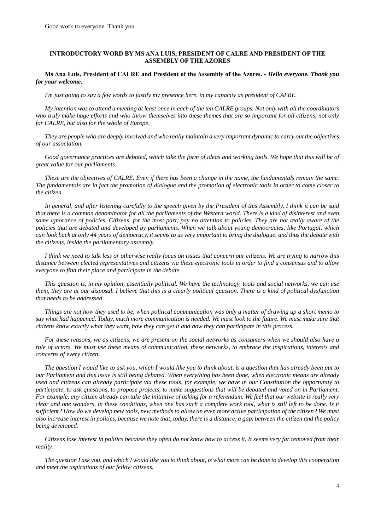# **INTRODUCTORY WORD BY MS ANA LUIS, PRESIDENT OF CALRE AND PRESIDENT OF THE ASSEMBLY OF THE AZORES**

# **Ms Ana Luis, President of CALRE and President of the Assembly of the Azores.** *- Hello everyone. Thank you for your welcome.*

*I'm just going to say a few words to justify my presence here, in my capacity as president of CALRE.* 

*My intention was to attend a meeting at least once in each of the ten CALRE groups. Not only with all the coordinators who truly make huge efforts and who throw themselves into these themes that are so important for all citizens, not only for CALRE, but also for the whole of Europe.* 

*They are people who are deeply involved and who really maintain a very important dynamic to carry out the objectives of our association.*

*Good governance practices are debated, which take the form of ideas and working tools. We hope that this will be of great value for our parliaments.* 

*These are the objectives of CALRE. Even if there has been a change in the name, the fundamentals remain the same. The fundamentals are in fact the promotion of dialogue and the promotion of electronic tools in order to come closer to the citizen.* 

*In general, and after listening carefully to the speech given by the President of this Assembly, I think it can be said that there is a common denominator for all the parliaments of the Western world. There is a kind of disinterest and even some ignorance of policies. Citizens, for the most part, pay no attention to policies. They are not really aware of the policies that are debated and developed by parliaments. When we talk about young democracies, like Portugal, which can look back at only 44 years of democracy, it seems to us very important to bring the dialogue, and thus the debate with the citizens, inside the parliamentary assembly.* 

*I think we need to talk less or otherwise really focus on issues that concern our citizens. We are trying to narrow this distance between elected representatives and citizens via these electronic tools in order to find a consensus and to allow everyone to find their place and participate in the debate.* 

*This question is, in my opinion, essentially political. We have the technology, tools and social networks, we can use them, they are at our disposal. I believe that this is a clearly political question. There is a kind of political dysfunction that needs to be addressed.* 

*Things are not how they used to be, when political communication was only a matter of drawing up a short memo to say what had happened. Today, much more communication is needed. We must look to the future. We must make sure that citizens know exactly what they want, how they can get it and how they can participate in this process.* 

*For these reasons, we as citizens, we are present on the social networks as consumers when we should also have a role of actors. We must use these means of communication, these networks, to embrace the inspirations, interests and concerns of every citizen.* 

*The question I would like to ask you, which I would like you to think about, is a question that has already been put to our Parliament and this issue is still being debated. When everything has been done, when electronic means are already used and citizens can already participate via these tools, for example, we have in our Constitution the opportunity to participate, to ask questions, to propose projects, to make suggestions that will be debated and voted on in Parliament. For example, any citizen already can take the initiative of asking for a referendum. We feel that our website is really very clear and one wonders, in these conditions, when one has such a complete work tool, what is still left to be done. Is it sufficient? How do we develop new tools, new methods to allow an even more active participation of the citizen? We must also increase interest in politics, because we note that, today, there is a distance, a gap, between the citizen and the policy being developed.* 

*Citizens lose interest in politics because they often do not know how to access it. It seems very far removed from their reality.* 

*The question I ask you, and which I would like you to think about, is what more can be done to develop this cooperation and meet the aspirations of our fellow citizens.*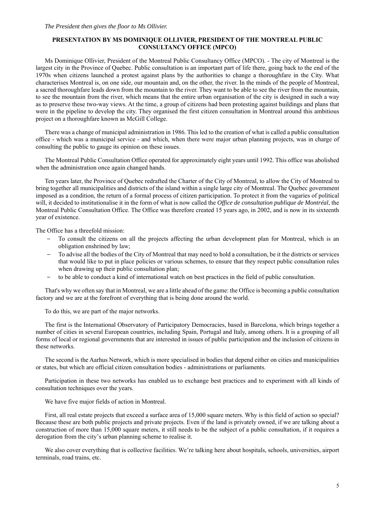# **PRESENTATION BY MS DOMINIQUE OLLIVIER, PRESIDENT OF THE MONTREAL PUBLIC CONSULTANCY OFFICE (MPCO)**

Ms Dominique Ollivier, President of the Montreal Public Consultancy Office (MPCO). - The city of Montreal is the largest city in the Province of Quebec. Public consultation is an important part of life there, going back to the end of the 1970s when citizens launched a protest against plans by the authorities to change a thoroughfare in the City. What characterises Montreal is, on one side, our mountain and, on the other, the river. In the minds of the people of Montreal, a sacred thoroughfare leads down from the mountain to the river. They want to be able to see the river from the mountain, to see the mountain from the river, which means that the entire urban organisation of the city is designed in such a way as to preserve these two-way views. At the time, a group of citizens had been protesting against buildings and plans that were in the pipeline to develop the city. They organised the first citizen consultation in Montreal around this ambitious project on a thoroughfare known as McGill College.

There was a change of municipal administration in 1986. This led to the creation of what is called a public consultation office - which was a municipal service - and which, when there were major urban planning projects, was in charge of consulting the public to gauge its opinion on these issues.

The Montreal Public Consultation Office operated for approximately eight years until 1992. This office was abolished when the administration once again changed hands.

Ten years later, the Province of Quebec redrafted the Charter of the City of Montreal, to allow the City of Montreal to bring together all municipalities and districts of the island within a single large city of Montreal. The Quebec government imposed as a condition, the return of a formal process of citizen participation. To protect it from the vagaries of political will, it decided to institutionalise it in the form of what is now called the *Office de consultation publique de Montréal*, the Montreal Public Consultation Office. The Office was therefore created 15 years ago, in 2002, and is now in its sixteenth year of existence.

The Office has a threefold mission:

- To consult the citizens on all the projects affecting the urban development plan for Montreal, which is an obligation enshrined by law;
- To advise all the bodies of the City of Montreal that may need to hold a consultation, be it the districts or services that would like to put in place policies or various schemes, to ensure that they respect public consultation rules when drawing up their public consultation plan;
- to be able to conduct a kind of international watch on best practices in the field of public consultation.

That's why we often say that in Montreal, we are a little ahead of the game: the Office is becoming a public consultation factory and we are at the forefront of everything that is being done around the world.

To do this, we are part of the major networks.

The first is the International Observatory of Participatory Democracies, based in Barcelona, which brings together a number of cities in several European countries, including Spain, Portugal and Italy, among others. It is a grouping of all forms of local or regional governments that are interested in issues of public participation and the inclusion of citizens in these networks.

The second is the Aarhus Network, which is more specialised in bodies that depend either on cities and municipalities or states, but which are official citizen consultation bodies - administrations or parliaments.

Participation in these two networks has enabled us to exchange best practices and to experiment with all kinds of consultation techniques over the years.

We have five major fields of action in Montreal.

First, all real estate projects that exceed a surface area of 15,000 square meters. Why is this field of action so special? Because these are both public projects and private projects. Even if the land is privately owned, if we are talking about a construction of more than 15,000 square meters, it still needs to be the subject of a public consultation, if it requires a derogation from the city's urban planning scheme to realise it.

We also cover everything that is collective facilities. We're talking here about hospitals, schools, universities, airport terminals, road trains, etc.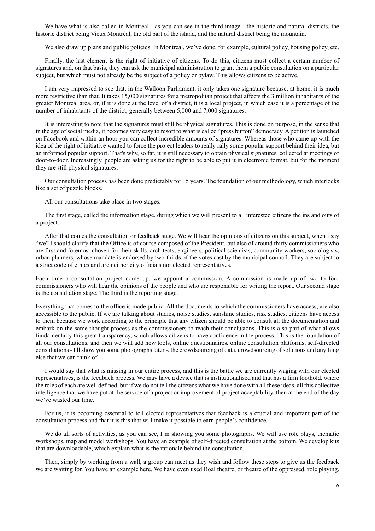We have what is also called in Montreal - as you can see in the third image - the historic and natural districts, the historic district being Vieux Montréal, the old part of the island, and the natural district being the mountain.

We also draw up plans and public policies. In Montreal, we've done, for example, cultural policy, housing policy, etc.

Finally, the last element is the right of initiative of citizens. To do this, citizens must collect a certain number of signatures and, on that basis, they can ask the municipal administration to grant them a public consultation on a particular subject, but which must not already be the subject of a policy or bylaw. This allows citizens to be active.

I am very impressed to see that, in the Walloon Parliament, it only takes one signature because, at home, it is much more restrictive than that. It takes 15,000 signatures for a metropolitan project that affects the 3 million inhabitants of the greater Montreal area, or, if it is done at the level of a district, it is a local project, in which case it is a percentage of the number of inhabitants of the district, generally between 5,000 and 7,000 signatures.

It is interesting to note that the signatures must still be physical signatures. This is done on purpose, in the sense that in the age of social media, it becomes very easy to resort to what is called "press button" democracy. A petition is launched on Facebook and within an hour you can collect incredible amounts of signatures. Whereas those who came up with the idea of the right of initiative wanted to force the project leaders to really rally some popular support behind their idea, but an informed popular support. That's why, so far, it is still necessary to obtain physical signatures, collected at meetings or door-to-door. Increasingly, people are asking us for the right to be able to put it in electronic format, but for the moment they are still physical signatures.

Our consultation process has been done predictably for 15 years. The foundation of our methodology, which interlocks like a set of puzzle blocks.

All our consultations take place in two stages.

The first stage, called the information stage, during which we will present to all interested citizens the ins and outs of a project.

After that comes the consultation or feedback stage. We will hear the opinions of citizens on this subject, when I say "we" I should clarify that the Office is of course composed of the President, but also of around thirty commissioners who are first and foremost chosen for their skills, architects, engineers, political scientists, community workers, sociologists, urban planners, whose mandate is endorsed by two-thirds of the votes cast by the municipal council. They are subject to a strict code of ethics and are neither city officials nor elected representatives.

Each time a consultation project come up, we appoint a commission. A commission is made up of two to four commissioners who will hear the opinions of the people and who are responsible for writing the report. Our second stage is the consultation stage. The third is the reporting stage.

Everything that comes to the office is made public. All the documents to which the commissioners have access, are also accessible to the public. If we are talking about studies, noise studies, sunshine studies, risk studies, citizens have access to them because we work according to the principle that any citizen should be able to consult all the documentation and embark on the same thought process as the commissioners to reach their conclusions. This is also part of what allows fundamentally this great transparency, which allows citizens to have confidence in the process. This is the foundation of all our consultations, and then we will add new tools, online questionnaires, online consultation platforms, self-directed consultations - I'll show you some photographs later -, the crowdsourcing of data, crowdsourcing of solutions and anything else that we can think of.

I would say that what is missing in our entire process, and this is the battle we are currently waging with our elected representatives, is the feedback process. We may have a device that is institutionalised and that has a firm foothold, where the roles of each are well defined, but if we do not tell the citizens what we have done with all these ideas, all this collective intelligence that we have put at the service of a project or improvement of project acceptability, then at the end of the day we've wasted our time.

For us, it is becoming essential to tell elected representatives that feedback is a crucial and important part of the consultation process and that it is this that will make it possible to earn people's confidence.

We do all sorts of activities, as you can see, I'm showing you some photographs. We will use role plays, thematic workshops, map and model workshops. You have an example of self-directed consultation at the bottom. We develop kits that are downloadable, which explain what is the rationale behind the consultation.

Then, simply by working from a wall, a group can meet as they wish and follow these steps to give us the feedback we are waiting for. You have an example here. We have even used Boal theatre, or theatre of the oppressed, role playing,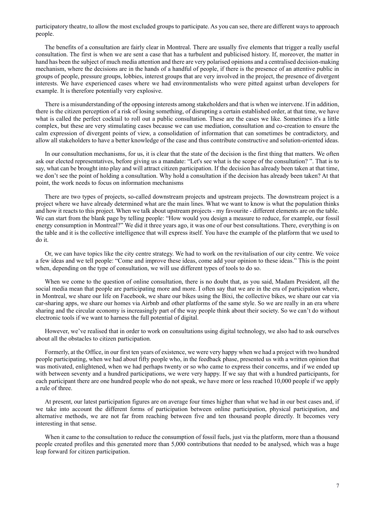participatory theatre, to allow the most excluded groups to participate. As you can see, there are different ways to approach people.

The benefits of a consultation are fairly clear in Montreal. There are usually five elements that trigger a really useful consultation. The first is when we are sent a case that has a turbulent and publicised history. If, moreover, the matter in hand has been the subject of much media attention and there are very polarised opinions and a centralised decision-making mechanism, where the decisions are in the hands of a handful of people, if there is the presence of an attentive public in groups of people, pressure groups, lobbies, interest groups that are very involved in the project, the presence of divergent interests. We have experienced cases where we had environmentalists who were pitted against urban developers for example. It is therefore potentially very explosive.

There is a misunderstanding of the opposing interests among stakeholders and that is when we intervene. If in addition, there is the citizen perception of a risk of losing something, of disrupting a certain established order, at that time, we have what is called the perfect cocktail to roll out a public consultation. These are the cases we like. Sometimes it's a little complex, but these are very stimulating cases because we can use mediation, consultation and co-creation to ensure the calm expression of divergent points of view, a consolidation of information that can sometimes be contradictory, and allow all stakeholders to have a better knowledge of the case and thus contribute constructive and solution-oriented ideas.

In our consultation mechanisms, for us, it is clear that the state of the decision is the first thing that matters. We often ask our elected representatives, before giving us a mandate: "Let's see what is the scope of the consultation? ". That is to say, what can be brought into play and will attract citizen participation. If the decision has already been taken at that time, we don't see the point of holding a consultation. Why hold a consultation if the decision has already been taken? At that point, the work needs to focus on information mechanisms

There are two types of projects, so-called downstream projects and upstream projects. The downstream project is a project where we have already determined what are the main lines. What we want to know is what the population thinks and how it reacts to this project. When we talk about upstream projects - my favourite - different elements are on the table. We can start from the blank page by telling people: "How would you design a measure to reduce, for example, our fossil energy consumption in Montreal?" We did it three years ago, it was one of our best consultations. There, everything is on the table and it is the collective intelligence that will express itself. You have the example of the platform that we used to do it.

Or, we can have topics like the city centre strategy. We had to work on the revitalisation of our city centre. We voice a few ideas and we tell people: "Come and improve these ideas, come add your opinion to these ideas." This is the point when, depending on the type of consultation, we will use different types of tools to do so.

When we come to the question of online consultation, there is no doubt that, as you said, Madam President, all the social media mean that people are participating more and more. I often say that we are in the era of participation where, in Montreal, we share our life on Facebook, we share our bikes using the Bixi, the collective bikes, we share our car via car-sharing apps, we share our homes via Airbnb and other platforms of the same style. So we are really in an era where sharing and the circular economy is increasingly part of the way people think about their society. So we can't do without electronic tools if we want to harness the full potential of digital.

However, we've realised that in order to work on consultations using digital technology, we also had to ask ourselves about all the obstacles to citizen participation.

Formerly, at the Office, in our first ten years of existence, we were very happy when we had a project with two hundred people participating, when we had about fifty people who, in the feedback phase, presented us with a written opinion that was motivated, enlightened, when we had perhaps twenty or so who came to express their concerns, and if we ended up with between seventy and a hundred participations, we were very happy. If we say that with a hundred participants, for each participant there are one hundred people who do not speak, we have more or less reached 10,000 people if we apply a rule of three.

At present, our latest participation figures are on average four times higher than what we had in our best cases and, if we take into account the different forms of participation between online participation, physical participation, and alternative methods, we are not far from reaching between five and ten thousand people directly. It becomes very interesting in that sense.

When it came to the consultation to reduce the consumption of fossil fuels, just via the platform, more than a thousand people created profiles and this generated more than 5,000 contributions that needed to be analysed, which was a huge leap forward for citizen participation.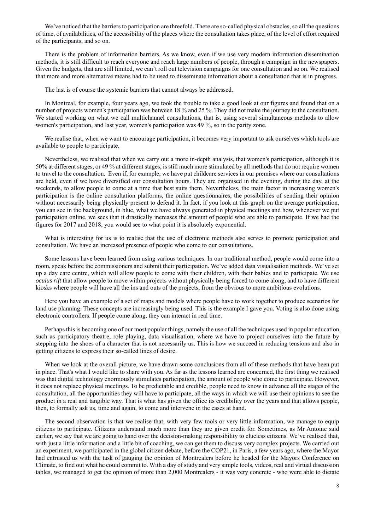We've noticed that the barriers to participation are threefold. There are so-called physical obstacles, so all the questions of time, of availabilities, of the accessibility of the places where the consultation takes place, of the level of effort required of the participants, and so on.

There is the problem of information barriers. As we know, even if we use very modern information dissemination methods, it is still difficult to reach everyone and reach large numbers of people, through a campaign in the newspapers. Given the budgets, that are still limited, we can't roll out television campaigns for one consultation and so on. We realised that more and more alternative means had to be used to disseminate information about a consultation that is in progress.

The last is of course the systemic barriers that cannot always be addressed.

In Montreal, for example, four years ago, we took the trouble to take a good look at our figures and found that on a number of projects women's participation was between 18 % and 25 %. They did not make the journey to the consultation. We started working on what we call multichannel consultations, that is, using several simultaneous methods to allow women's participation, and last year, women's participation was 49 %, so in the parity zone.

We realise that, when we want to encourage participation, it becomes very important to ask ourselves which tools are available to people to participate.

Nevertheless, we realised that when we carry out a more in-depth analysis, that women's participation, although it is 50% at different stages, or 49 % at different stages, is still much more stimulated by all methods that do not require women to travel to the consultation. Even if, for example, we have put childcare services in our premises where our consultations are held, even if we have diversified our consultation hours. They are organised in the evening, during the day, at the weekends, to allow people to come at a time that best suits them. Nevertheless, the main factor in increasing women's participation is the online consultation platforms, the online questionnaires, the possibilities of sending their opinion without necessarily being physically present to defend it. In fact, if you look at this graph on the average participation, you can see in the background, in blue, what we have always generated in physical meetings and how, whenever we put participation online, we sees that it drastically increases the amount of people who are able to participate. If we had the figures for 2017 and 2018, you would see to what point it is absolutely exponential.

What is interesting for us is to realise that the use of electronic methods also serves to promote participation and consultation. We have an increased presence of people who come to our consultations.

Some lessons have been learned from using various techniques. In our traditional method, people would come into a room, speak before the commissioners and submit their participation. We've added data visualisation methods. We've set up a day care centre, which will allow people to come with their children, with their babies and to participate. We use *oculus rift* that allow people to move within projects without physically being forced to come along, and to have different kiosks where people will have all the ins and outs of the projects, from the obvious to more ambitious evolutions.

Here you have an example of a set of maps and models where people have to work together to produce scenarios for land use planning. These concepts are increasingly being used. This is the example I gave you. Voting is also done using electronic controllers. If people come along, they can interact in real time.

Perhaps this is becoming one of our most popular things, namely the use of all the techniques used in popular education, such as participatory theatre, role playing, data visualisation, where we have to project ourselves into the future by stepping into the shoes of a character that is not necessarily us. This is how we succeed in reducing tensions and also in getting citizens to express their so-called lines of desire.

When we look at the overall picture, we have drawn some conclusions from all of these methods that have been put in place. That's what I would like to share with you. As far as the lessons learned are concerned, the first thing we realised was that digital technology enormously stimulates participation, the amount of people who come to participate. However, it does not replace physical meetings. To be predictable and credible, people need to know in advance all the stages of the consultation, all the opportunities they will have to participate, all the ways in which we will use their opinions to see the product in a real and tangible way. That is what has given the office its credibility over the years and that allows people, then, to formally ask us, time and again, to come and intervene in the cases at hand.

The second observation is that we realise that, with very few tools or very little information, we manage to equip citizens to participate. Citizens understand much more than they are given credit for. Sometimes, as Mr Antoine said earlier, we say that we are going to hand over the decision-making responsibility to clueless citizens. We've realised that, with just a little information and a little bit of coaching, we can get them to discuss very complex projects. We carried out an experiment, we participated in the global citizen debate, before the COP21, in Paris, a few years ago, where the Mayor had entrusted us with the task of gauging the opinion of Montrealers before he headed for the Mayors Conference on Climate, to find out what he could commit to. With a day of study and very simple tools, videos, real and virtual discussion tables, we managed to get the opinion of more than 2,000 Montrealers - it was very concrete - who were able to dictate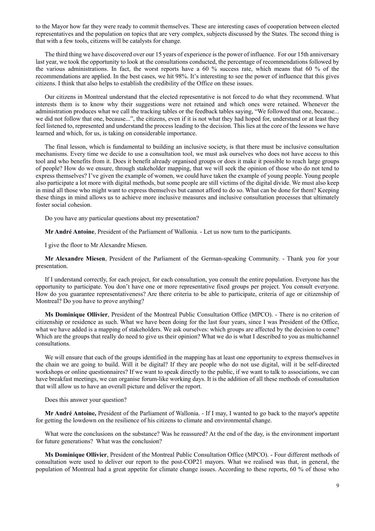to the Mayor how far they were ready to commit themselves. These are interesting cases of cooperation between elected representatives and the population on topics that are very complex, subjects discussed by the States. The second thing is that with a few tools, citizens will be catalysts for change.

The third thing we have discovered over our 15 years of experience is the power of influence. For our 15th anniversary last year, we took the opportunity to look at the consultations conducted, the percentage of recommendations followed by the various administrations. In fact, the worst reports have a 60 % success rate, which means that 60 % of the recommendations are applied. In the best cases, we hit 98%. It's interesting to see the power of influence that this gives citizens. I think that also helps to establish the credibility of the Office on these issues.

Our citizens in Montreal understand that the elected representative is not forced to do what they recommend. What interests them is to know why their suggestions were not retained and which ones were retained. Whenever the administration produces what we call the tracking tables or the feedback tables saying, "We followed that one, because... we did not follow that one, because...", the citizens, even if it is not what they had hoped for, understand or at least they feel listened to, represented and understand the process leading to the decision. This lies at the core of the lessons we have learned and which, for us, is taking on considerable importance.

The final lesson, which is fundamental to building an inclusive society, is that there must be inclusive consultation mechanisms. Every time we decide to use a consultation tool, we must ask ourselves who does not have access to this tool and who benefits from it. Does it benefit already organised groups or does it make it possible to reach large groups of people? How do we ensure, through stakeholder mapping, that we will seek the opinion of those who do not tend to express themselves? I've given the example of women, we could have taken the example of young people. Young people also participate a lot more with digital methods, but some people are still victims of the digital divide. We must also keep in mind all those who might want to express themselves but cannot afford to do so. What can be done for them? Keeping these things in mind allows us to achieve more inclusive measures and inclusive consultation processes that ultimately foster social cohesion.

Do you have any particular questions about my presentation?

**Mr André Antoine**, President of the Parliament of Wallonia. - Let us now turn to the participants.

I give the floor to Mr Alexandre Miesen.

**Mr Alexandre Miesen**, President of the Parliament of the German-speaking Community. - Thank you for your presentation.

If I understand correctly, for each project, for each consultation, you consult the entire population. Everyone has the opportunity to participate. You don't have one or more representative fixed groups per project. You consult everyone. How do you guarantee representativeness? Are there criteria to be able to participate, criteria of age or citizenship of Montreal? Do you have to prove anything?

**Ms Dominique Ollivier**, President of the Montreal Public Consultation Office (MPCO). - There is no criterion of citizenship or residence as such. What we have been doing for the last four years, since I was President of the Office, what we have added is a mapping of stakeholders. We ask ourselves: which groups are affected by the decision to come? Which are the groups that really do need to give us their opinion? What we do is what I described to you as multichannel consultations.

We will ensure that each of the groups identified in the mapping has at least one opportunity to express themselves in the chain we are going to build. Will it be digital? If they are people who do not use digital, will it be self-directed workshops or online questionnaires? If we want to speak directly to the public, if we want to talk to associations, we can have breakfast meetings, we can organise forum-like working days. It is the addition of all these methods of consultation that will allow us to have an overall picture and deliver the report.

Does this answer your question?

**Mr André Antoine,** President of the Parliament of Wallonia. - If I may, I wanted to go back to the mayor's appetite for getting the lowdown on the resilience of his citizens to climate and environmental change.

What were the conclusions on the substance? Was he reassured? At the end of the day, is the environment important for future generations? What was the conclusion?

**Ms Dominique Ollivier**, President of the Montreal Public Consultation Office (MPCO). - Four different methods of consultation were used to deliver our report to the post-COP21 mayors. What we realised was that, in general, the population of Montreal had a great appetite for climate change issues. According to these reports, 60 % of those who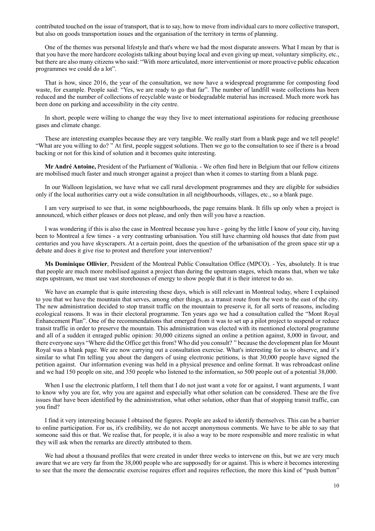contributed touched on the issue of transport, that is to say, how to move from individual cars to more collective transport, but also on goods transportation issues and the organisation of the territory in terms of planning.

One of the themes was personal lifestyle and that's where we had the most disparate answers. What I mean by that is that you have the more hardcore ecologists talking about buying local and even giving up meat, voluntary simplicity, etc., but there are also many citizens who said: "With more articulated, more interventionist or more proactive public education programmes we could do a lot".

That is how, since 2016, the year of the consultation, we now have a widespread programme for composting food waste, for example. People said: "Yes, we are ready to go that far". The number of landfill waste collections has been reduced and the number of collections of recyclable waste or biodegradable material has increased. Much more work has been done on parking and accessibility in the city centre.

In short, people were willing to change the way they live to meet international aspirations for reducing greenhouse gases and climate change.

These are interesting examples because they are very tangible. We really start from a blank page and we tell people! "What are you willing to do? " At first, people suggest solutions. Then we go to the consultation to see if there is a broad backing or not for this kind of solution and it becomes quite interesting.

**Mr André Antoine,** President of the Parliament of Wallonia. - We often find here in Belgium that our fellow citizens are mobilised much faster and much stronger against a project than when it comes to starting from a blank page.

In our Walloon legislation, we have what we call rural development programmes and they are eligible for subsidies only if the local authorities carry out a wide consultation in all neighbourhoods, villages, etc., so a blank page.

I am very surprised to see that, in some neighbourhoods, the page remains blank. It fills up only when a project is announced, which either pleases or does not please, and only then will you have a reaction.

I was wondering if this is also the case in Montreal because you have - going by the little I know of your city, having been to Montreal a few times - a very contrasting urbanisation. You still have charming old houses that date from past centuries and you have skyscrapers. At a certain point, does the question of the urbanisation of the green space stir up a debate and does it give rise to protest and therefore your intervention?

**Ms Dominique Ollivier**, President of the Montreal Public Consultation Office (MPCO). - Yes, absolutely. It is true that people are much more mobilised against a project than during the upstream stages, which means that, when we take steps upstream, we must use vast storehouses of energy to show people that it is their interest to do so.

We have an example that is quite interesting these days, which is still relevant in Montreal today, where I explained to you that we have the mountain that serves, among other things, as a transit route from the west to the east of the city. The new administration decided to stop transit traffic on the mountain to preserve it, for all sorts of reasons, including ecological reasons. It was in their electoral programme. Ten years ago we had a consultation called the "Mont Royal Enhancement Plan". One of the recommendations that emerged from it was to set up a pilot project to suspend or reduce transit traffic in order to preserve the mountain. This administration was elected with its mentioned electoral programme and all of a sudden it enraged public opinion: 30,000 citizens signed an online a petition against, 8,000 in favour, and there everyone says "Where did the Office get this from? Who did you consult? " because the development plan for Mount Royal was a blank page. We are now carrying out a consultation exercise. What's interesting for us to observe, and it's similar to what I'm telling you about the dangers of using electronic petitions, is that 30,000 people have signed the petition against. Our information evening was held in a physical presence and online format. It was rebroadcast online and we had 150 people on site, and 350 people who listened to the information, so 500 people out of a potential 38,000.

When I use the electronic platform, I tell them that I do not just want a vote for or against, I want arguments, I want to know why you are for, why you are against and especially what other solution can be considered. These are the five issues that have been identified by the administration, what other solution, other than that of stopping transit traffic, can you find?

I find it very interesting because I obtained the figures. People are asked to identify themselves. This can be a barrier to online participation. For us, it's credibility, we do not accept anonymous comments. We have to be able to say that someone said this or that. We realise that, for people, it is also a way to be more responsible and more realistic in what they will ask when the remarks are directly attributed to them.

We had about a thousand profiles that were created in under three weeks to intervene on this, but we are very much aware that we are very far from the 38,000 people who are supposedly for or against. This is where it becomes interesting to see that the more the democratic exercise requires effort and requires reflection, the more this kind of "push button"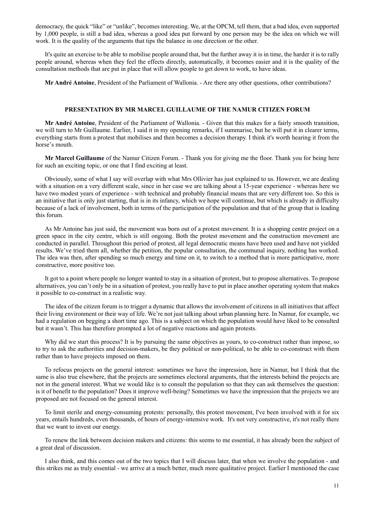democracy, the quick "like" or "unlike", becomes interesting. We, at the OPCM, tell them, that a bad idea, even supported by 1,000 people, is still a bad idea, whereas a good idea put forward by one person may be the idea on which we will work. It is the quality of the arguments that tips the balance in one direction or the other.

It's quite an exercise to be able to mobilise people around that, but the further away it is in time, the harder it is to rally people around, whereas when they feel the effects directly, automatically, it becomes easier and it is the quality of the consultation methods that are put in place that will allow people to get down to work, to have ideas.

**Mr André Antoine**, President of the Parliament of Wallonia. - Are there any other questions, other contributions?

#### **PRESENTATION BY MR MARCEL GUILLAUME OF THE NAMUR CITIZEN FORUM**

**Mr André Antoine**, President of the Parliament of Wallonia. - Given that this makes for a fairly smooth transition, we will turn to Mr Guillaume. Earlier, I said it in my opening remarks, if I summarise, but he will put it in clearer terms, everything starts from a protest that mobilises and then becomes a decision therapy. I think it's worth hearing it from the horse's mouth.

**Mr Marcel Guillaume** of the Namur Citizen Forum. - Thank you for giving me the floor. Thank you for being here for such an exciting topic, or one that I find exciting at least.

Obviously, some of what I say will overlap with what Mrs Ollivier has just explained to us. However, we are dealing with a situation on a very different scale, since in her case we are talking about a 15-year experience - whereas here we have two modest years of experience - with technical and probably financial means that are very different too. So this is an initiative that is only just starting, that is in its infancy, which we hope will continue, but which is already in difficulty because of a lack of involvement, both in terms of the participation of the population and that of the group that is leading this forum.

As Mr Antoine has just said, the movement was born out of a protest movement. It is a shopping centre project on a green space in the city centre, which is still ongoing. Both the protest movement and the construction movement are conducted in parallel. Throughout this period of protest, all legal democratic means have been used and have not yielded results. We've tried them all, whether the petition, the popular consultation, the communal inquiry, nothing has worked. The idea was then, after spending so much energy and time on it, to switch to a method that is more participative, more constructive, more positive too.

It got to a point where people no longer wanted to stay in a situation of protest, but to propose alternatives. To propose alternatives, you can't only be in a situation of protest, you really have to put in place another operating system that makes it possible to co-construct in a realistic way.

The idea of the citizen forum is to trigger a dynamic that allows the involvement of citizens in all initiatives that affect their living environment or their way of life. We're not just talking about urban planning here. In Namur, for example, we had a regulation on begging a short time ago. This is a subject on which the population would have liked to be consulted but it wasn't. This has therefore prompted a lot of negative reactions and again protests.

Why did we start this process? It is by pursuing the same objectives as yours, to co-construct rather than impose, so to try to ask the authorities and decision-makers, be they political or non-political, to be able to co-construct with them rather than to have projects imposed on them.

To refocus projects on the general interest: sometimes we have the impression, here in Namur, but I think that the same is also true elsewhere, that the projects are sometimes electoral arguments, that the interests behind the projects are not in the general interest. What we would like is to consult the population so that they can ask themselves the question: is it of benefit to the population? Does it improve well-being? Sometimes we have the impression that the projects we are proposed are not focused on the general interest.

To limit sterile and energy-consuming protests: personally, this protest movement, I've been involved with it for six years, entails hundreds, even thousands, of hours of energy-intensive work. It's not very constructive, it's not really there that we want to invest our energy.

To renew the link between decision makers and citizens: this seems to me essential, it has already been the subject of a great deal of discussion.

I also think, and this comes out of the two topics that I will discuss later, that when we involve the population - and this strikes me as truly essential - we arrive at a much better, much more qualitative project. Earlier I mentioned the case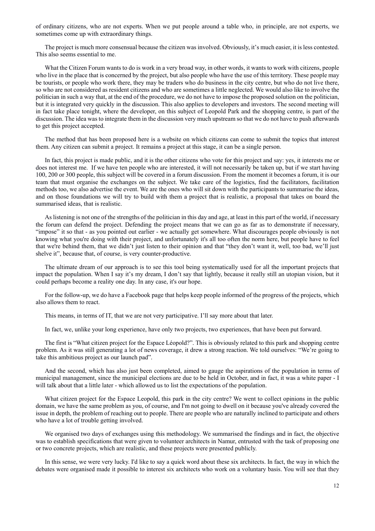of ordinary citizens, who are not experts. When we put people around a table who, in principle, are not experts, we sometimes come up with extraordinary things.

The project is much more consensual because the citizen was involved. Obviously, it's much easier, it is less contested. This also seems essential to me.

What the Citizen Forum wants to do is work in a very broad way, in other words, it wants to work with citizens, people who live in the place that is concerned by the project, but also people who have the use of this territory. These people may be tourists, or people who work there, they may be traders who do business in the city centre, but who do not live there, so who are not considered as resident citizens and who are sometimes a little neglected. We would also like to involve the politician in such a way that, at the end of the procedure, we do not have to impose the proposed solution on the politician, but it is integrated very quickly in the discussion. This also applies to developers and investors. The second meeting will in fact take place tonight, where the developer, on this subject of Leopold Park and the shopping centre, is part of the discussion. The idea was to integrate them in the discussion very much upstream so that we do not have to push afterwards to get this project accepted.

The method that has been proposed here is a website on which citizens can come to submit the topics that interest them. Any citizen can submit a project. It remains a project at this stage, it can be a single person.

In fact, this project is made public, and it is the other citizens who vote for this project and say: yes, it interests me or does not interest me. If we have ten people who are interested, it will not necessarily be taken up, but if we start having 100, 200 or 300 people, this subject will be covered in a forum discussion. From the moment it becomes a forum, it is our team that must organise the exchanges on the subject. We take care of the logistics, find the facilitators, facilitation methods too, we also advertise the event. We are the ones who will sit down with the participants to summarise the ideas, and on those foundations we will try to build with them a project that is realistic, a proposal that takes on board the summarised ideas, that is realistic.

As listening is not one of the strengths of the politician in this day and age, at least in this part of the world, if necessary the forum can defend the project. Defending the project means that we can go as far as to demonstrate if necessary, "impose" it so that - as you pointed out earlier - we actually get somewhere. What discourages people obviously is not knowing what you're doing with their project, and unfortunately it's all too often the norm here, but people have to feel that we're behind them, that we didn't just listen to their opinion and that "they don't want it, well, too bad, we'll just shelve it", because that, of course, is very counter-productive.

The ultimate dream of our approach is to see this tool being systematically used for all the important projects that impact the population. When I say it's my dream, I don't say that lightly, because it really still an utopian vision, but it could perhaps become a reality one day. In any case, it's our hope.

For the follow-up, we do have a Facebook page that helps keep people informed of the progress of the projects, which also allows them to react.

This means, in terms of IT, that we are not very participative. I'll say more about that later.

In fact, we, unlike your long experience, have only two projects, two experiences, that have been put forward.

The first is "What citizen project for the Espace Léopold?". This is obviously related to this park and shopping centre problem. As it was still generating a lot of news coverage, it drew a strong reaction. We told ourselves: "We're going to take this ambitious project as our launch pad".

And the second, which has also just been completed, aimed to gauge the aspirations of the population in terms of municipal management, since the municipal elections are due to be held in October, and in fact, it was a white paper - I will talk about that a little later - which allowed us to list the expectations of the population.

What citizen project for the Espace Leopold, this park in the city centre? We went to collect opinions in the public domain, we have the same problem as you, of course, and I'm not going to dwell on it because you've already covered the issue in depth, the problem of reaching out to people. There are people who are naturally inclined to participate and others who have a lot of trouble getting involved.

We organised two days of exchanges using this methodology. We summarised the findings and in fact, the objective was to establish specifications that were given to volunteer architects in Namur, entrusted with the task of proposing one or two concrete projects, which are realistic, and these projects were presented publicly.

In this sense, we were very lucky. I'd like to say a quick word about these six architects. In fact, the way in which the debates were organised made it possible to interest six architects who work on a voluntary basis. You will see that they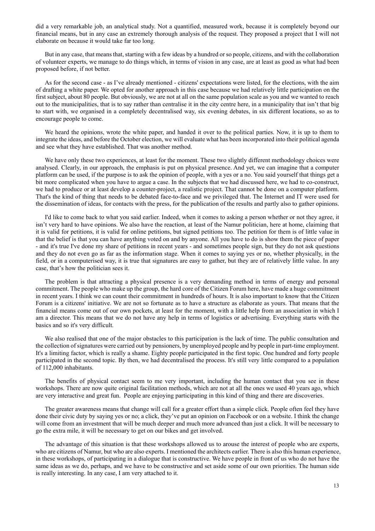did a very remarkable job, an analytical study. Not a quantified, measured work, because it is completely beyond our financial means, but in any case an extremely thorough analysis of the request. They proposed a project that I will not elaborate on because it would take far too long.

But in any case, that means that, starting with a few ideas by a hundred or so people, citizens, and with the collaboration of volunteer experts, we manage to do things which, in terms of vision in any case, are at least as good as what had been proposed before, if not better.

As for the second case - as I've already mentioned - citizens' expectations were listed, for the elections, with the aim of drafting a white paper. We opted for another approach in this case because we had relatively little participation on the first subject, about 80 people. But obviously, we are not at all on the same population scale as you and we wanted to reach out to the municipalities, that is to say rather than centralise it in the city centre here, in a municipality that isn't that big to start with, we organised in a completely decentralised way, six evening debates, in six different locations, so as to encourage people to come.

We heard the opinions, wrote the white paper, and handed it over to the political parties. Now, it is up to them to integrate the ideas, and before the October election, we will evaluate what has been incorporated into their political agenda and see what they have established. That was another method.

We have only these two experiences, at least for the moment. These two slightly different methodology choices were analysed. Clearly, in our approach, the emphasis is put on physical presence. And yet, we can imagine that a computer platform can be used, if the purpose is to ask the opinion of people, with a yes or a no. You said yourself that things get a bit more complicated when you have to argue a case. In the subjects that we had discussed here, we had to co-construct, we had to produce or at least develop a counter-project, a realistic project. That cannot be done on a computer platform. That's the kind of thing that needs to be debated face-to-face and we privileged that. The Internet and IT were used for the dissemination of ideas, for contacts with the press, for the publication of the results and partly also to gather opinions.

I'd like to come back to what you said earlier. Indeed, when it comes to asking a person whether or not they agree, it isn't very hard to have opinions. We also have the reaction, at least of the Namur politician, here at home, claiming that it is valid for petitions, it is valid for online petitions, but signed petitions too. The petition for them is of little value in that the belief is that you can have anything voted on and by anyone. All you have to do is show them the piece of paper - and it's true I've done my share of petitions in recent years - and sometimes people sign, but they do not ask questions and they do not even go as far as the information stage. When it comes to saying yes or no, whether physically, in the field, or in a computerised way, it is true that signatures are easy to gather, but they are of relatively little value. In any case, that's how the politician sees it.

The problem is that attracting a physical presence is a very demanding method in terms of energy and personal commitment. The people who make up the group, the hard core of the Citizen Forum here, have made a huge commitment in recent years. I think we can count their commitment in hundreds of hours. It is also important to know that the Citizen Forum is a citizens' initiative. We are not so fortunate as to have a structure as elaborate as yours. That means that the financial means come out of our own pockets, at least for the moment, with a little help from an association in which I am a director. This means that we do not have any help in terms of logistics or advertising. Everything starts with the basics and so it's very difficult.

We also realised that one of the major obstacles to this participation is the lack of time. The public consultation and the collection of signatures were carried out by pensioners, by unemployed people and by people in part-time employment. It's a limiting factor, which is really a shame. Eighty people participated in the first topic. One hundred and forty people participated in the second topic. By then, we had decentralised the process. It's still very little compared to a population of 112,000 inhabitants.

The benefits of physical contact seem to me very important, including the human contact that you see in these workshops. There are now quite original facilitation methods, which are not at all the ones we used 40 years ago, which are very interactive and great fun. People are enjoying participating in this kind of thing and there are discoveries.

The greater awareness means that change will call for a greater effort than a simple click. People often feel they have done their civic duty by saying yes or no; a click, they've put an opinion on Facebook or on a website. I think the change will come from an investment that will be much deeper and much more advanced than just a click. It will be necessary to go the extra mile, it will be necessary to get on our bikes and get involved.

The advantage of this situation is that these workshops allowed us to arouse the interest of people who are experts, who are citizens of Namur, but who are also experts. I mentioned the architects earlier. There is also this human experience, in these workshops, of participating in a dialogue that is constructive. We have people in front of us who do not have the same ideas as we do, perhaps, and we have to be constructive and set aside some of our own priorities. The human side is really interesting. In any case, I am very attached to it.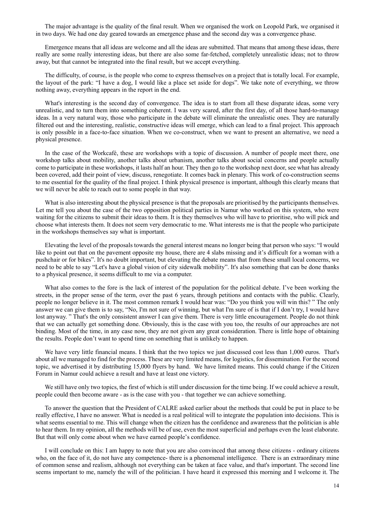The major advantage is the quality of the final result. When we organised the work on Leopold Park, we organised it in two days. We had one day geared towards an emergence phase and the second day was a convergence phase.

Emergence means that all ideas are welcome and all the ideas are submitted. That means that among these ideas, there really are some really interesting ideas, but there are also some far-fetched, completely unrealistic ideas; not to throw away, but that cannot be integrated into the final result, but we accept everything.

The difficulty, of course, is the people who come to express themselves on a project that is totally local. For example, the layout of the park: "I have a dog, I would like a place set aside for dogs". We take note of everything, we throw nothing away, everything appears in the report in the end.

What's interesting is the second day of convergence. The idea is to start from all these disparate ideas, some very unrealistic, and to turn them into something coherent. I was very scared, after the first day, of all those hard-to-manage ideas. In a very natural way, those who participate in the debate will eliminate the unrealistic ones. They are naturally filtered out and the interesting, realistic, constructive ideas will emerge, which can lead to a final project. This approach is only possible in a face-to-face situation. When we co-construct, when we want to present an alternative, we need a physical presence.

In the case of the Workcafé, these are workshops with a topic of discussion. A number of people meet there, one workshop talks about mobility, another talks about urbanism, another talks about social concerns and people actually come to participate in these workshops, it lasts half an hour. They then go to the workshop next door, see what has already been covered, add their point of view, discuss, renegotiate. It comes back in plenary. This work of co-construction seems to me essential for the quality of the final project. I think physical presence is important, although this clearly means that we will never be able to reach out to some people in that way.

What is also interesting about the physical presence is that the proposals are prioritised by the participants themselves. Let me tell you about the case of the two opposition political parties in Namur who worked on this system, who were waiting for the citizens to submit their ideas to them. It is they themselves who will have to prioritise, who will pick and choose what interests them. It does not seem very democratic to me. What interests me is that the people who participate in the workshops themselves say what is important.

Elevating the level of the proposals towards the general interest means no longer being that person who says: "I would like to point out that on the pavement opposite my house, there are 4 slabs missing and it's difficult for a woman with a pushchair or for bikes". It's no doubt important, but elevating the debate means that from these small local concerns, we need to be able to say "Let's have a global vision of city sidewalk mobility". It's also something that can be done thanks to a physical presence, it seems difficult to me via a computer.

What also comes to the fore is the lack of interest of the population for the political debate. I've been working the streets, in the proper sense of the term, over the past 6 years, through petitions and contacts with the public. Clearly, people no longer believe in it. The most common remark I would hear was: "Do you think you will win this? " The only answer we can give them is to say, "No, I'm not sure of winning, but what I'm sure of is that if I don't try, I would have lost anyway. " That's the only consistent answer I can give them. There is very little encouragement. People do not think that we can actually get something done. Obviously, this is the case with you too, the results of our approaches are not binding. Most of the time, in any case now, they are not given any great consideration. There is little hope of obtaining the results. People don't want to spend time on something that is unlikely to happen.

We have very little financial means. I think that the two topics we just discussed cost less than 1,000 euros. That's about all we managed to find for the process. These are very limited means, for logistics, for dissemination. For the second topic, we advertised it by distributing 15,000 flyers by hand. We have limited means. This could change if the Citizen Forum in Namur could achieve a result and have at least one victory.

We still have only two topics, the first of which is still under discussion for the time being. If we could achieve a result, people could then become aware - as is the case with you - that together we can achieve something.

To answer the question that the President of CALRE asked earlier about the methods that could be put in place to be really effective, I have no answer. What is needed is a real political will to integrate the population into decisions. This is what seems essential to me. This will change when the citizen has the confidence and awareness that the politician is able to hear them. In my opinion, all the methods will be of use, even the most superficial and perhaps even the least elaborate. But that will only come about when we have earned people's confidence.

I will conclude on this: I am happy to note that you are also convinced that among these citizens - ordinary citizens who, on the face of it, do not have any competence- there is a phenomenal intelligence. There is an extraordinary mine of common sense and realism, although not everything can be taken at face value, and that's important. The second line seems important to me, namely the will of the politician. I have heard it expressed this morning and I welcome it. The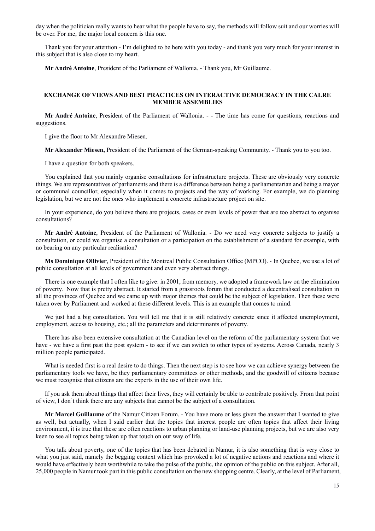day when the politician really wants to hear what the people have to say, the methods will follow suit and our worries will be over. For me, the major local concern is this one.

Thank you for your attention - I'm delighted to be here with you today - and thank you very much for your interest in this subject that is also close to my heart.

**Mr André Antoine**, President of the Parliament of Wallonia. - Thank you, Mr Guillaume.

# **EXCHANGE OF VIEWS AND BEST PRACTICES ON INTERACTIVE DEMOCRACY IN THE CALRE MEMBER ASSEMBLIES**

**Mr André Antoine**, President of the Parliament of Wallonia. - - The time has come for questions, reactions and suggestions.

I give the floor to Mr Alexandre Miesen.

**Mr Alexander Miesen,** President of the Parliament of the German-speaking Community. - Thank you to you too.

I have a question for both speakers.

You explained that you mainly organise consultations for infrastructure projects. These are obviously very concrete things. We are representatives of parliaments and there is a difference between being a parliamentarian and being a mayor or communal councillor, especially when it comes to projects and the way of working. For example, we do planning legislation, but we are not the ones who implement a concrete infrastructure project on site.

In your experience, do you believe there are projects, cases or even levels of power that are too abstract to organise consultations?

**Mr André Antoine**, President of the Parliament of Wallonia. - Do we need very concrete subjects to justify a consultation, or could we organise a consultation or a participation on the establishment of a standard for example, with no bearing on any particular realisation?

**Ms Dominique Ollivier**, President of the Montreal Public Consultation Office (MPCO). - In Quebec, we use a lot of public consultation at all levels of government and even very abstract things.

There is one example that I often like to give: in 2001, from memory, we adopted a framework law on the elimination of poverty. Now that is pretty abstract. It started from a grassroots forum that conducted a decentralised consultation in all the provinces of Quebec and we came up with major themes that could be the subject of legislation. Then these were taken over by Parliament and worked at these different levels. This is an example that comes to mind.

We just had a big consultation. You will tell me that it is still relatively concrete since it affected unemployment, employment, access to housing, etc.; all the parameters and determinants of poverty.

There has also been extensive consultation at the Canadian level on the reform of the parliamentary system that we have - we have a first past the post system - to see if we can switch to other types of systems. Across Canada, nearly 3 million people participated.

What is needed first is a real desire to do things. Then the next step is to see how we can achieve synergy between the parliamentary tools we have, be they parliamentary committees or other methods, and the goodwill of citizens because we must recognise that citizens are the experts in the use of their own life.

If you ask them about things that affect their lives, they will certainly be able to contribute positively. From that point of view, I don't think there are any subjects that cannot be the subject of a consultation.

**Mr Marcel Guillaume** of the Namur Citizen Forum. - You have more or less given the answer that I wanted to give as well, but actually, when I said earlier that the topics that interest people are often topics that affect their living environment, it is true that these are often reactions to urban planning or land-use planning projects, but we are also very keen to see all topics being taken up that touch on our way of life.

You talk about poverty, one of the topics that has been debated in Namur, it is also something that is very close to what you just said, namely the begging context which has provoked a lot of negative actions and reactions and where it would have effectively been worthwhile to take the pulse of the public, the opinion of the public on this subject. After all, 25,000 people in Namur took part in this public consultation on the new shopping centre. Clearly, at the level of Parliament,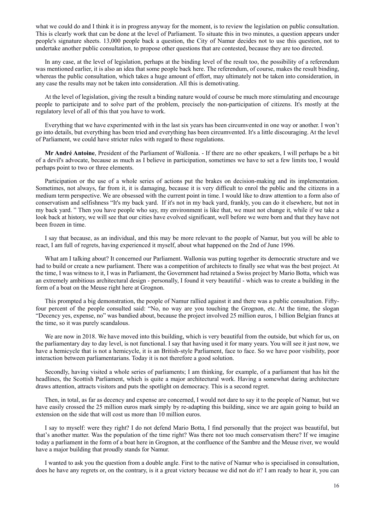what we could do and I think it is in progress anyway for the moment, is to review the legislation on public consultation. This is clearly work that can be done at the level of Parliament. To situate this in two minutes, a question appears under people's signature sheets. 13,000 people back a question, the City of Namur decides not to use this question, not to undertake another public consultation, to propose other questions that are contested, because they are too directed.

In any case, at the level of legislation, perhaps at the binding level of the result too, the possibility of a referendum was mentioned earlier, it is also an idea that some people back here. The referendum, of course, makes the result binding, whereas the public consultation, which takes a huge amount of effort, may ultimately not be taken into consideration, in any case the results may not be taken into consideration. All this is demotivating.

At the level of legislation, giving the result a binding nature would of course be much more stimulating and encourage people to participate and to solve part of the problem, precisely the non-participation of citizens. It's mostly at the regulatory level of all of this that you have to work.

Everything that we have experimented with in the last six years has been circumvented in one way or another. I won't go into details, but everything has been tried and everything has been circumvented. It's a little discouraging. At the level of Parliament, we could have stricter rules with regard to these regulations.

**Mr André Antoine**, President of the Parliament of Wallonia. - If there are no other speakers, I will perhaps be a bit of a devil's advocate, because as much as I believe in participation, sometimes we have to set a few limits too, I would perhaps point to two or three elements.

Participation or the use of a whole series of actions put the brakes on decision-making and its implementation. Sometimes, not always, far from it, it is damaging, because it is very difficult to enrol the public and the citizens in a medium term perspective. We are obsessed with the current point in time. I would like to draw attention to a form also of conservatism and selfishness "It's my back yard. If it's not in my back yard, frankly, you can do it elsewhere, but not in my back yard. " Then you have people who say, my environment is like that, we must not change it, while if we take a look back at history, we will see that our cities have evolved significant, well before we were born and that they have not been frozen in time.

I say that because, as an individual, and this may be more relevant to the people of Namur, but you will be able to react, I am full of regrets, having experienced it myself, about what happened on the 2nd of June 1996.

What am I talking about? It concerned our Parliament. Wallonia was putting together its democratic structure and we had to build or create a new parliament. There was a competition of architects to finally see what was the best project. At the time, I was witness to it, I was in Parliament, the Government had retained a Swiss project by Mario Botta, which was an extremely ambitious architectural design - personally, I found it very beautiful - which was to create a building in the form of a boat on the Meuse right here at Grognon.

This prompted a big demonstration, the people of Namur rallied against it and there was a public consultation. Fiftyfour percent of the people consulted said: "No, no way are you touching the Grognon, etc. At the time, the slogan "Decency yes, expense, no" was bandied about, because the project involved 25 million euros, 1 billion Belgian francs at the time, so it was purely scandalous.

We are now in 2018. We have moved into this building, which is very beautiful from the outside, but which for us, on the parliamentary day to day level, is not functional. I say that having used it for many years. You will see it just now, we have a hemicycle that is not a hemicycle, it is an British-style Parliament, face to face. So we have poor visibility, poor interaction between parliamentarians. Today it is not therefore a good solution.

Secondly, having visited a whole series of parliaments; I am thinking, for example, of a parliament that has hit the headlines, the Scottish Parliament, which is quite a major architectural work. Having a somewhat daring architecture draws attention, attracts visitors and puts the spotlight on democracy. This is a second regret.

Then, in total, as far as decency and expense are concerned, I would not dare to say it to the people of Namur, but we have easily crossed the 25 million euros mark simply by re-adapting this building, since we are again going to build an extension on the side that will cost us more than 10 million euros.

I say to myself: were they right? I do not defend Mario Botta, I find personally that the project was beautiful, but that's another matter. Was the population of the time right? Was there not too much conservatism there? If we imagine today a parliament in the form of a boat here in Grognon, at the confluence of the Sambre and the Meuse river, we would have a major building that proudly stands for Namur.

I wanted to ask you the question from a double angle. First to the native of Namur who is specialised in consultation, does he have any regrets or, on the contrary, is it a great victory because we did not do it? I am ready to hear it, you can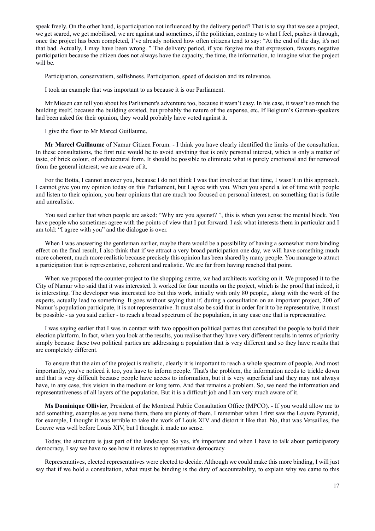speak freely. On the other hand, is participation not influenced by the delivery period? That is to say that we see a project, we get scared, we get mobilised, we are against and sometimes, if the politician, contrary to what I feel, pushes it through, once the project has been completed, I've already noticed how often citizens tend to say: "At the end of the day, it's not that bad. Actually, I may have been wrong. " The delivery period, if you forgive me that expression, favours negative participation because the citizen does not always have the capacity, the time, the information, to imagine what the project will be.

Participation, conservatism, selfishness. Participation, speed of decision and its relevance.

I took an example that was important to us because it is our Parliament.

Mr Miesen can tell you about his Parliament's adventure too, because it wasn't easy. In his case, it wasn't so much the building itself, because the building existed, but probably the nature of the expense, etc. If Belgium's German-speakers had been asked for their opinion, they would probably have voted against it.

I give the floor to Mr Marcel Guillaume.

**Mr Marcel Guillaume** of Namur Citizen Forum. - I think you have clearly identified the limits of the consultation. In these consultations, the first rule would be to avoid anything that is only personal interest, which is only a matter of taste, of brick colour, of architectural form. It should be possible to eliminate what is purely emotional and far removed from the general interest; we are aware of it.

For the Botta, I cannot answer you, because I do not think I was that involved at that time, I wasn't in this approach. I cannot give you my opinion today on this Parliament, but I agree with you. When you spend a lot of time with people and listen to their opinion, you hear opinions that are much too focused on personal interest, on something that is futile and unrealistic.

You said earlier that when people are asked: "Why are you against? ", this is when you sense the mental block. You have people who sometimes agree with the points of view that I put forward. I ask what interests them in particular and I am told: "I agree with you" and the dialogue is over.

When I was answering the gentleman earlier, maybe there would be a possibility of having a somewhat more binding effect on the final result, I also think that if we attract a very broad participation one day, we will have something much more coherent, much more realistic because precisely this opinion has been shared by many people. You manage to attract a participation that is representative, coherent and realistic. We are far from having reached that point.

When we proposed the counter-project to the shopping centre, we had architects working on it. We proposed it to the City of Namur who said that it was interested. It worked for four months on the project, which is the proof that indeed, it is interesting. The developer was interested too but this work, initially with only 80 people,, along with the work of the experts, actually lead to something. It goes without saying that if, during a consultation on an important project, 200 of Namur's population participate, it is not representative. It must also be said that in order for it to be representative, it must be possible - as you said earlier - to reach a broad spectrum of the population, in any case one that is representative.

I was saying earlier that I was in contact with two opposition political parties that consulted the people to build their election platform. In fact, when you look at the results, you realise that they have very different results in terms of priority simply because these two political parties are addressing a population that is very different and so they have results that are completely different.

To ensure that the aim of the project is realistic, clearly it is important to reach a whole spectrum of people. And most importantly, you've noticed it too, you have to inform people. That's the problem, the information needs to trickle down and that is very difficult because people have access to information, but it is very superficial and they may not always have, in any case, this vision in the medium or long term. And that remains a problem. So, we need the information and representativeness of all layers of the population. But it is a difficult job and I am very much aware of it.

**Ms Dominique Ollivier**, President of the Montreal Public Consultation Office (MPCO). - If you would allow me to add something, examples as you name them, there are plenty of them. I remember when I first saw the Louvre Pyramid, for example, I thought it was terrible to take the work of Louis XIV and distort it like that. No, that was Versailles, the Louvre was well before Louis XIV, but I thought it made no sense.

Today, the structure is just part of the landscape. So yes, it's important and when I have to talk about participatory democracy, I say we have to see how it relates to representative democracy.

Representatives, elected representatives were elected to decide. Although we could make this more binding, I will just say that if we hold a consultation, what must be binding is the duty of accountability, to explain why we came to this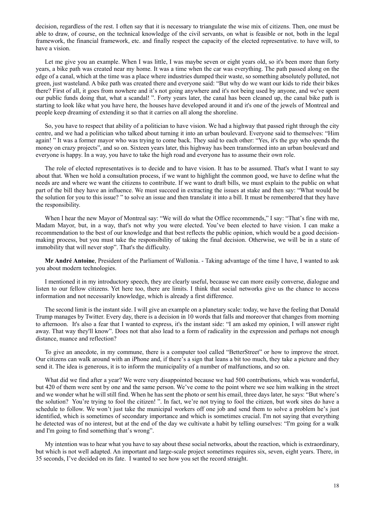decision, regardless of the rest. I often say that it is necessary to triangulate the wise mix of citizens. Then, one must be able to draw, of course, on the technical knowledge of the civil servants, on what is feasible or not, both in the legal framework, the financial framework, etc. and finally respect the capacity of the elected representative. to have will, to have a vision.

Let me give you an example. When I was little, I was maybe seven or eight years old, so it's been more than forty years, a bike path was created near my home. It was a time when the car was everything. The path passed along on the edge of a canal, which at the time was a place where industries dumped their waste, so something absolutely polluted, not green, just wasteland. A bike path was created there and everyone said: "But why do we want our kids to ride their bikes there? First of all, it goes from nowhere and it's not going anywhere and it's not being used by anyone, and we've spent our public funds doing that, what a scandal! ". Forty years later, the canal has been cleaned up, the canal bike path is starting to look like what you have here, the houses have developed around it and it's one of the jewels of Montreal and people keep dreaming of extending it so that it carries on all along the shoreline.

So, you have to respect that ability of a politician to have vision. We had a highway that passed right through the city centre, and we had a politician who talked about turning it into an urban boulevard. Everyone said to themselves: "Him again! " It was a former mayor who was trying to come back. They said to each other: "Yes, it's the guy who spends the money on crazy projects", and so on. Sixteen years later, this highway has been transformed into an urban boulevard and everyone is happy. In a way, you have to take the high road and everyone has to assume their own role.

The role of elected representatives is to decide and to have vision. It has to be assumed. That's what I want to say about that. When we hold a consultation process, if we want to highlight the common good, we have to define what the needs are and where we want the citizens to contribute. If we want to draft bills, we must explain to the public on what part of the bill they have an influence. We must succeed in extracting the issues at stake and then say: "What would be the solution for you to this issue? " to solve an issue and then translate it into a bill. It must be remembered that they have the responsibility.

When I hear the new Mayor of Montreal say: "We will do what the Office recommends," I say: "That's fine with me, Madam Mayor, but, in a way, that's not why you were elected. You've been elected to have vision. I can make a recommendation to the best of our knowledge and that best reflects the public opinion, which would be a good decisionmaking process, but you must take the responsibility of taking the final decision. Otherwise, we will be in a state of immobility that will never stop". That's the difficulty.

**Mr André Antoine**, President of the Parliament of Wallonia. - Taking advantage of the time I have, I wanted to ask you about modern technologies.

I mentioned it in my introductory speech, they are clearly useful, because we can more easily converse, dialogue and listen to our fellow citizens. Yet here too, there are limits. I think that social networks give us the chance to access information and not necessarily knowledge, which is already a first difference.

The second limit is the instant side. I will give an example on a planetary scale: today, we have the feeling that Donald Trump manages by Twitter. Every day, there is a decision in 10 words that falls and moreover that changes from morning to afternoon. It's also a fear that I wanted to express, it's the instant side: "I am asked my opinion, I will answer right away. That way they'll know". Does not that also lead to a form of radicality in the expression and perhaps not enough distance, nuance and reflection?

To give an anecdote, in my commune, there is a computer tool called "BetterStreet" or how to improve the street. Our citizens can walk around with an iPhone and, if there's a sign that leans a bit too much, they take a picture and they send it. The idea is generous, it is to inform the municipality of a number of malfunctions, and so on.

What did we find after a year? We were very disappointed because we had 500 contributions, which was wonderful, but 420 of them were sent by one and the same person. We've come to the point where we see him walking in the street and we wonder what he will still find. When he has sent the photo or sent his email, three days later, he says: "But where's the solution? You're trying to fool the citizen! ". In fact, we're not trying to fool the citizen, but work sites do have a schedule to follow. We won't just take the municipal workers off one job and send them to solve a problem he's just identified, which is sometimes of secondary importance and which is sometimes crucial. I'm not saying that everything he detected was of no interest, but at the end of the day we cultivate a habit by telling ourselves: "I'm going for a walk and I'm going to find something that's wrong".

My intention was to hear what you have to say about these social networks, about the reaction, which is extraordinary, but which is not well adapted. An important and large-scale project sometimes requires six, seven, eight years. There, in 35 seconds, I've decided on its fate. I wanted to see how you set the record straight.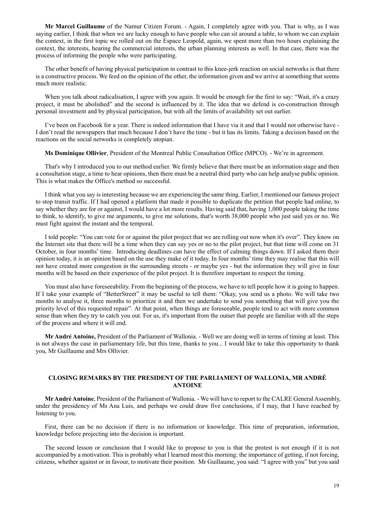**Mr Marcel Guillaume** of the Namur Citizen Forum. - Again, I completely agree with you. That is why, as I was saying earlier, I think that when we are lucky enough to have people who can sit around a table, to whom we can explain the context, in the first topic we rolled out on the Espace Leopold, again, we spent more than two hours explaining the context, the interests, hearing the commercial interests, the urban planning interests as well. In that case, there was the process of informing the people who were participating.

The other benefit of having physical participation in contrast to this knee-jerk reaction on social networks is that there is a constructive process. We feed on the opinion of the other, the information given and we arrive at something that seems much more realistic.

When you talk about radicalisation, I agree with you again. It would be enough for the first to say: "Wait, it's a crazy project, it must be abolished" and the second is influenced by it. The idea that we defend is co-construction through personal investment and by physical participation, but with all the limits of availability set out earlier.

I've been on Facebook for a year. There is indeed information that I have via it and that I would not otherwise have - I don't read the newspapers that much because I don't have the time - but it has its limits. Taking a decision based on the reactions on the social networks is completely utopian.

**Ms Dominique Ollivier**, President of the Montreal Public Consultation Office (MPCO). - We're in agreement.

That's why I introduced you to our method earlier. We firmly believe that there must be an information stage and then a consultation stage, a time to hear opinions, then there must be a neutral third party who can help analyse public opinion. This is what makes the Office's method so successful.

I think what you say is interesting because we are experiencing the same thing. Earlier, I mentioned our famous project to stop transit traffic. If I had opened a platform that made it possible to duplicate the petition that people had online, to say whether they are for or against, I would have a lot more results. Having said that, having 1,000 people taking the time to think, to identify, to give me arguments, to give me solutions, that's worth 38,000 people who just said yes or no. We must fight against the instant and the temporal.

I told people: "You can vote for or against the pilot project that we are rolling out now when it's over". They know on the Internet site that there will be a time when they can say yes or no to the pilot project, but that time will come on 31 October, in four months' time. Introducing deadlines can have the effect of calming things down. If I asked them their opinion today, it is an opinion based on the use they make of it today. In four months' time they may realise that this will not have created more congestion in the surrounding streets - or maybe yes - but the information they will give in four months will be based on their experience of the pilot project. It is therefore important to respect the timing.

You must also have foreseeability. From the beginning of the process, we have to tell people how it is going to happen. If I take your example of "BetterStreet" it may be useful to tell them: "Okay, you send us a photo. We will take two months to analyse it, three months to prioritize it and then we undertake to send you something that will give you the priority level of this requested repair". At that point, when things are foreseeable, people tend to act with more common sense than when they try to catch you out. For us, it's important from the outset that people are familiar with all the steps of the process and where it will end.

**Mr André Antoine,** President of the Parliament of Wallonia. - Well we are doing well in terms of timing at least. This is not always the case in parliamentary life, but this time, thanks to you... I would like to take this opportunity to thank you, Mr Guillaume and Mrs Ollivier.

#### **CLOSING REMARKS BY THE PRESIDENT OF THE PARLIAMENT OF WALLONIA, MR ANDRÉ ANTOINE**

**Mr André Antoine**, President of the Parliament of Wallonia. - We will have to report to the CALRE General Assembly, under the presidency of Ms Ana Luis, and perhaps we could draw five conclusions, if I may, that I have reached by listening to you.

First, there can be no decision if there is no information or knowledge. This time of preparation, information, knowledge before projecting into the decision is important.

The second lesson or conclusion that I would like to propose to you is that the protest is not enough if it is not accompanied by a motivation. This is probably what I learned most this morning: the importance of getting, if not forcing, citizens, whether against or in favour, to motivate their position. Mr Guillaume, you said: "I agree with you" but you said